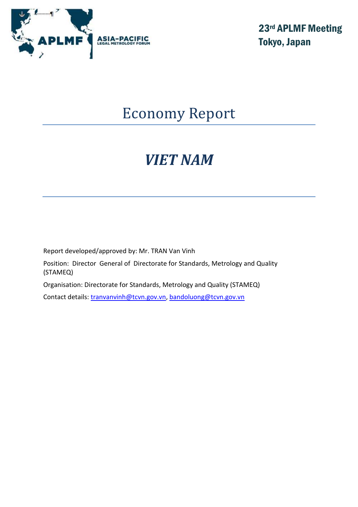

23rd APLMF Meeting Tokyo, Japan

## Economy Report

# *VIET NAM*

Report developed/approved by: Mr. TRAN Van Vinh

Position: Director General of Directorate for Standards, Metrology and Quality (STAMEQ)

Organisation: Directorate for Standards, Metrology and Quality (STAMEQ)

Contact details: [tranvanvinh@tcvn.gov.vn,](mailto:tranvanvinh@tcvn.gov.vn) [bandoluong@tcvn.gov.vn](mailto:bandoluong@tcvn.gov.vn)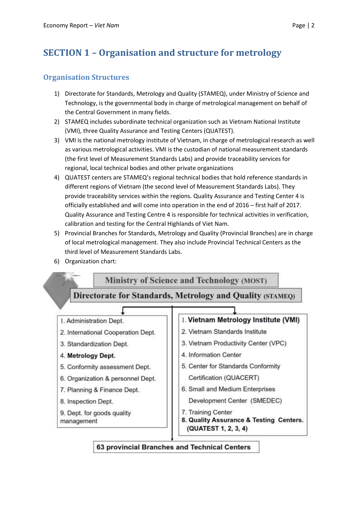## **SECTION 1 – Organisation and structure for metrology**

#### **Organisation Structures**

- 1) Directorate for Standards, Metrology and Quality (STAMEQ), under Ministry of Science and Technology, is the governmental body in charge of metrological management on behalf of the Central Government in many fields.
- 2) STAMEQ includes subordinate technical organization such as Vietnam National Institute (VMI), three Quality Assurance and Testing Centers (QUATEST).
- 3) VMI is the national metrology institute of Vietnam, in charge of metrological research as well as various metrological activities. VMI is the custodian of national measurement standards (the first level of Measurement Standards Labs) and provide traceability services for regional, local technical bodies and other private organizations
- 4) QUATEST centers are STAMEQ's regional technical bodies that hold reference standards in different regions of Vietnam (the second level of Measurement Standards Labs). They provide traceability services within the regions. Quality Assurance and Testing Center 4 is officially established and will come into operation in the end of 2016 – first half of 2017. Quality Assurance and Testing Centre 4 is responsible for technical activities in verification, calibration and testing for the Central Highlands of Viet Nam.
- 5) Provincial Branches for Standards, Metrology and Quality (Provincial Branches) are in charge of local metrological management. They also include Provincial Technical Centers as the third level of Measurement Standards Labs.
- 6) Organization chart:



63 provincial Branches and Technical Centers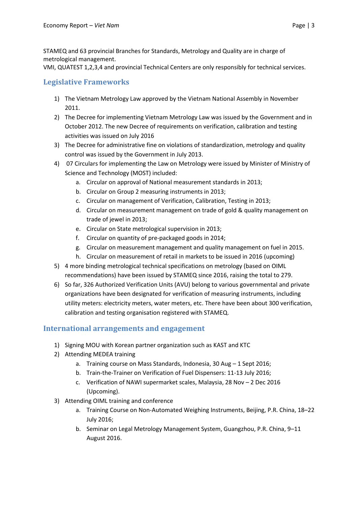STAMEQ and 63 provincial Branches for Standards, Metrology and Quality are in charge of metrological management.

VMI, QUATEST 1,2,3,4 and provincial Technical Centers are only responsibly for technical services.

#### **Legislative Frameworks**

- 1) The Vietnam Metrology Law approved by the Vietnam National Assembly in November 2011.
- 2) The Decree for implementing Vietnam Metrology Law was issued by the Government and in October 2012. The new Decree of requirements on verification, calibration and testing activities was issued on July 2016
- 3) The Decree for administrative fine on violations of standardization, metrology and quality control was issued by the Government in July 2013.
- 4) 07 Circulars for implementing the Law on Metrology were issued by Minister of Ministry of Science and Technology (MOST) included:
	- a. Circular on approval of National measurement standards in 2013;
	- b. Circular on Group 2 measuring instruments in 2013;
	- c. Circular on management of Verification, Calibration, Testing in 2013;
	- d. Circular on measurement management on trade of gold & quality management on trade of jewel in 2013;
	- e. Circular on State metrological supervision in 2013;
	- f. Circular on quantity of pre-packaged goods in 2014;
	- g. Circular on measurement management and quality management on fuel in 2015.
	- h. Circular on measurement of retail in markets to be issued in 2016 (upcoming)
- 5) 4 more binding metrological technical specifications on metrology (based on OIML recommendations) have been issued by STAMEQ since 2016, raising the total to 279.
- 6) So far, 326 Authorized Verification Units (AVU) belong to various governmental and private organizations have been designated for verification of measuring instruments, including utility meters: electricity meters, water meters, etc. There have been about 300 verification, calibration and testing organisation registered with STAMEQ.

#### **International arrangements and engagement**

- 1) Signing MOU with Korean partner organization such as KAST and KTC
- 2) Attending MEDEA training
	- a. Training course on Mass Standards, Indonesia, 30 Aug 1 Sept 2016;
	- b. Train-the-Trainer on Verification of Fuel Dispensers: 11-13 July 2016;
	- c. Verification of NAWI supermarket scales, Malaysia, 28 Nov 2 Dec 2016 (Upcoming).
- 3) Attending OIML training and conference
	- a. Training Course on Non-Automated Weighing Instruments, Beijing, P.R. China, 18–22 July 2016;
	- b. Seminar on Legal Metrology Management System, Guangzhou, P.R. China, 9–11 August 2016.